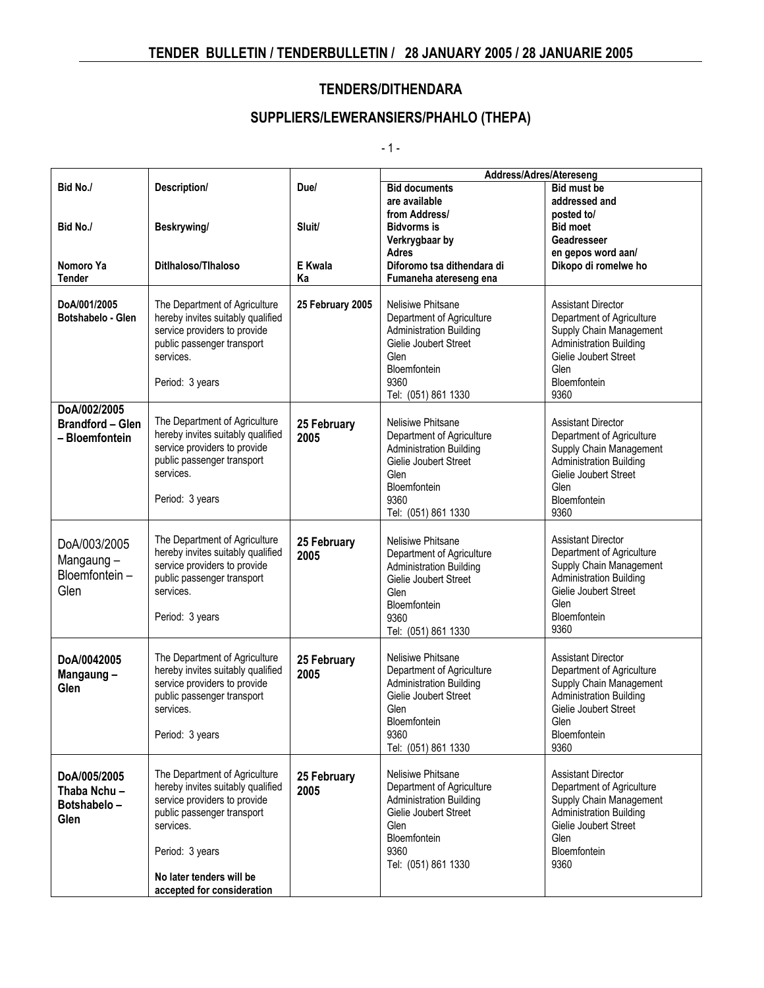## **SUPPLIERS/LEWERANSIERS/PHAHLO (THEPA)**

 $-1 -$ 

|                                                           |                                                                                                                                                                                                                            |                     | Address/Adres/Atereseng                                                                                                                                          |                                                                                                                                                                              |  |
|-----------------------------------------------------------|----------------------------------------------------------------------------------------------------------------------------------------------------------------------------------------------------------------------------|---------------------|------------------------------------------------------------------------------------------------------------------------------------------------------------------|------------------------------------------------------------------------------------------------------------------------------------------------------------------------------|--|
| Bid No./                                                  | Description/                                                                                                                                                                                                               | Due/                | <b>Bid documents</b>                                                                                                                                             | <b>Bid must be</b>                                                                                                                                                           |  |
|                                                           |                                                                                                                                                                                                                            |                     | are available                                                                                                                                                    | addressed and                                                                                                                                                                |  |
|                                                           |                                                                                                                                                                                                                            |                     | from Address/                                                                                                                                                    | posted to/                                                                                                                                                                   |  |
| Bid No./                                                  | Beskrywing/                                                                                                                                                                                                                | Sluit/              | <b>Bidvorms</b> is                                                                                                                                               | <b>Bid moet</b>                                                                                                                                                              |  |
|                                                           |                                                                                                                                                                                                                            |                     | Verkrygbaar by                                                                                                                                                   | Geadresseer                                                                                                                                                                  |  |
|                                                           |                                                                                                                                                                                                                            |                     | Adres                                                                                                                                                            | en gepos word aan/                                                                                                                                                           |  |
| Nomoro Ya                                                 | Ditlhaloso/Tlhaloso                                                                                                                                                                                                        | E Kwala             | Diforomo tsa dithendara di                                                                                                                                       | Dikopo di romelwe ho                                                                                                                                                         |  |
| Tender                                                    |                                                                                                                                                                                                                            | Ka                  | Fumaneha atereseng ena                                                                                                                                           |                                                                                                                                                                              |  |
| DoA/001/2005<br>Botshabelo - Glen                         | The Department of Agriculture<br>hereby invites suitably qualified<br>service providers to provide<br>public passenger transport<br>services.<br>Period: 3 years                                                           | 25 February 2005    | Nelisiwe Phitsane<br>Department of Agriculture<br><b>Administration Building</b><br>Gielie Joubert Street<br>Glen<br>Bloemfontein<br>9360<br>Tel: (051) 861 1330 | <b>Assistant Director</b><br>Department of Agriculture<br>Supply Chain Management<br><b>Administration Building</b><br>Gielie Joubert Street<br>Glen<br>Bloemfontein<br>9360 |  |
| DoA/002/2005<br><b>Brandford - Glen</b><br>- Bloemfontein | The Department of Agriculture<br>hereby invites suitably qualified<br>service providers to provide<br>public passenger transport<br>services.<br>Period: 3 years                                                           | 25 February<br>2005 | Nelisiwe Phitsane<br>Department of Agriculture<br><b>Administration Building</b><br>Gielie Joubert Street<br>Glen<br>Bloemfontein<br>9360<br>Tel: (051) 861 1330 | <b>Assistant Director</b><br>Department of Agriculture<br>Supply Chain Management<br><b>Administration Building</b><br>Gielie Joubert Street<br>Glen<br>Bloemfontein<br>9360 |  |
| DoA/003/2005<br>Mangaung-<br>Bloemfontein-<br>Glen        | The Department of Agriculture<br>hereby invites suitably qualified<br>service providers to provide<br>public passenger transport<br>services.<br>Period: 3 years                                                           | 25 February<br>2005 | Nelisiwe Phitsane<br>Department of Agriculture<br><b>Administration Building</b><br>Gielie Joubert Street<br>Glen<br>Bloemfontein<br>9360<br>Tel: (051) 861 1330 | <b>Assistant Director</b><br>Department of Agriculture<br>Supply Chain Management<br><b>Administration Building</b><br>Gielie Joubert Street<br>Glen<br>Bloemfontein<br>9360 |  |
| DoA/0042005<br>Mangaung-<br>Glen                          | The Department of Agriculture<br>hereby invites suitably qualified<br>service providers to provide<br>public passenger transport<br>services.<br>Period: 3 years                                                           | 25 February<br>2005 | Nelisiwe Phitsane<br>Department of Agriculture<br><b>Administration Building</b><br>Gielie Joubert Street<br>Glen<br>Bloemfontein<br>9360<br>Tel: (051) 861 1330 | <b>Assistant Director</b><br>Department of Agriculture<br>Supply Chain Management<br><b>Administration Building</b><br>Gielie Joubert Street<br>Glen<br>Bloemfontein<br>9360 |  |
| DoA/005/2005<br>Thaba Nchu-<br>Botshabelo-<br>Glen        | The Department of Agriculture<br>hereby invites suitably qualified<br>service providers to provide<br>public passenger transport<br>services.<br>Period: 3 years<br>No later tenders will be<br>accepted for consideration | 25 February<br>2005 | Nelisiwe Phitsane<br>Department of Agriculture<br><b>Administration Building</b><br>Gielie Joubert Street<br>Glen<br>Bloemfontein<br>9360<br>Tel: (051) 861 1330 | <b>Assistant Director</b><br>Department of Agriculture<br>Supply Chain Management<br><b>Administration Building</b><br>Gielie Joubert Street<br>Glen<br>Bloemfontein<br>9360 |  |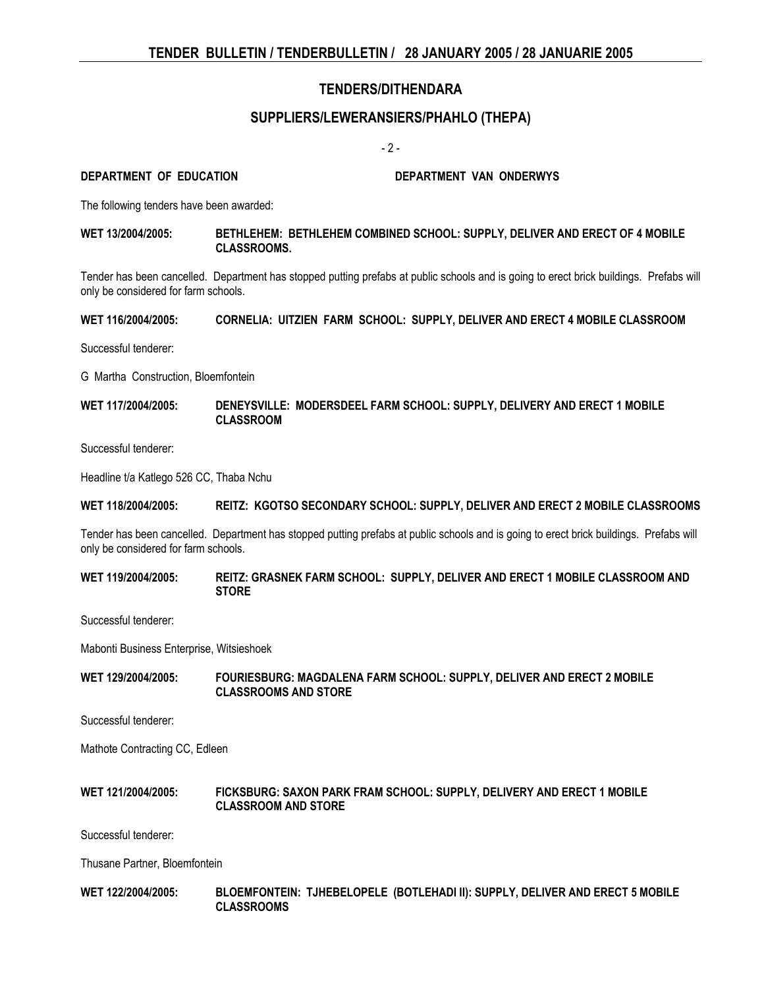## **SUPPLIERS/LEWERANSIERS/PHAHLO (THEPA)**

 $-2 -$ 

**DEPARTMENT OF EDUCATION DEPARTMENT VAN ONDERWYS**

The following tenders have been awarded:

#### **WET 13/2004/2005: BETHLEHEM: BETHLEHEM COMBINED SCHOOL: SUPPLY, DELIVER AND ERECT OF 4 MOBILE CLASSROOMS.**

Tender has been cancelled. Department has stopped putting prefabs at public schools and is going to erect brick buildings. Prefabs will only be considered for farm schools.

**WET 116/2004/2005: CORNELIA: UITZIEN FARM SCHOOL: SUPPLY, DELIVER AND ERECT 4 MOBILE CLASSROOM**

Successful tenderer:

G Martha Construction, Bloemfontein

**WET 117/2004/2005: DENEYSVILLE: MODERSDEEL FARM SCHOOL: SUPPLY, DELIVERY AND ERECT 1 MOBILE CLASSROOM**

Successful tenderer:

Headline t/a Katlego 526 CC, Thaba Nchu

#### **WET 118/2004/2005: REITZ: KGOTSO SECONDARY SCHOOL: SUPPLY, DELIVER AND ERECT 2 MOBILE CLASSROOMS**

Tender has been cancelled. Department has stopped putting prefabs at public schools and is going to erect brick buildings. Prefabs will only be considered for farm schools.

**WET 119/2004/2005: REITZ: GRASNEK FARM SCHOOL: SUPPLY, DELIVER AND ERECT 1 MOBILE CLASSROOM AND STORE**

Successful tenderer:

Mabonti Business Enterprise, Witsieshoek

**WET 129/2004/2005: FOURIESBURG: MAGDALENA FARM SCHOOL: SUPPLY, DELIVER AND ERECT 2 MOBILE CLASSROOMS AND STORE**

Successful tenderer:

Mathote Contracting CC, Edleen

#### **WET 121/2004/2005: FICKSBURG: SAXON PARK FRAM SCHOOL: SUPPLY, DELIVERY AND ERECT 1 MOBILE CLASSROOM AND STORE**

Successful tenderer:

Thusane Partner, Bloemfontein

#### **WET 122/2004/2005: BLOEMFONTEIN: TJHEBELOPELE (BOTLEHADI II): SUPPLY, DELIVER AND ERECT 5 MOBILE CLASSROOMS**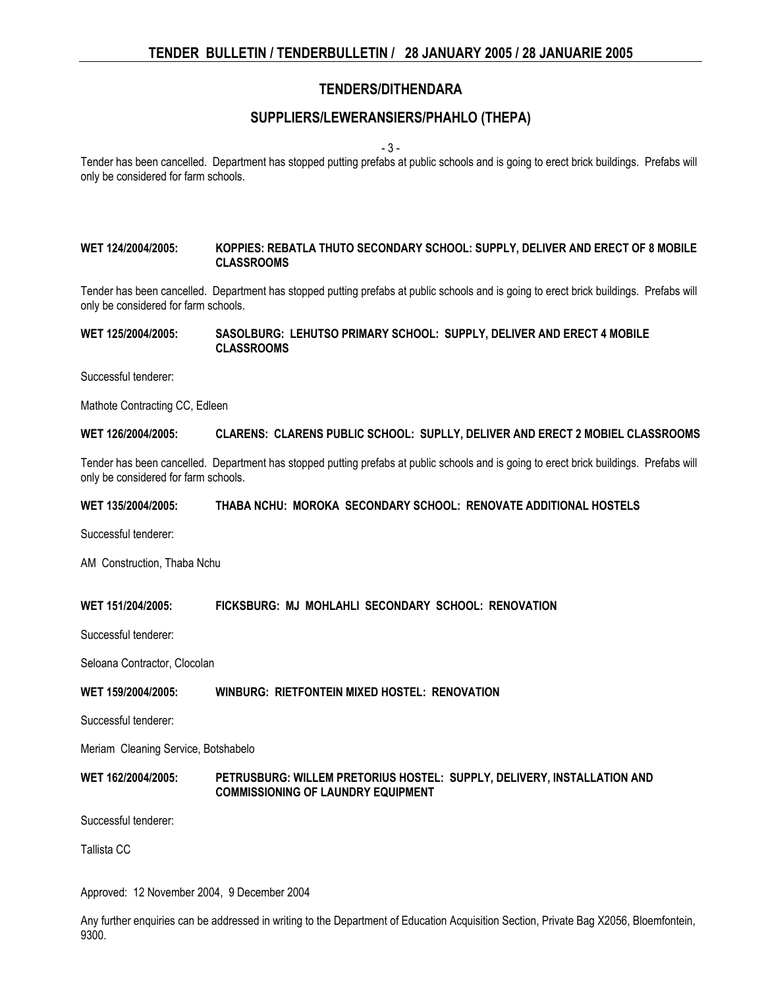### **SUPPLIERS/LEWERANSIERS/PHAHLO (THEPA)**

- 3 -

Tender has been cancelled. Department has stopped putting prefabs at public schools and is going to erect brick buildings. Prefabs will only be considered for farm schools.

#### **WET 124/2004/2005: KOPPIES: REBATLA THUTO SECONDARY SCHOOL: SUPPLY, DELIVER AND ERECT OF 8 MOBILE CLASSROOMS**

Tender has been cancelled. Department has stopped putting prefabs at public schools and is going to erect brick buildings. Prefabs will only be considered for farm schools.

#### **WET 125/2004/2005: SASOLBURG: LEHUTSO PRIMARY SCHOOL: SUPPLY, DELIVER AND ERECT 4 MOBILE CLASSROOMS**

Successful tenderer:

Mathote Contracting CC, Edleen

**WET 126/2004/2005: CLARENS: CLARENS PUBLIC SCHOOL: SUPLLY, DELIVER AND ERECT 2 MOBIEL CLASSROOMS**

Tender has been cancelled. Department has stopped putting prefabs at public schools and is going to erect brick buildings. Prefabs will only be considered for farm schools.

#### **WET 135/2004/2005: THABA NCHU: MOROKA SECONDARY SCHOOL: RENOVATE ADDITIONAL HOSTELS**

Successful tenderer:

AM Construction, Thaba Nchu

#### **WET 151/204/2005: FICKSBURG: MJ MOHLAHLI SECONDARY SCHOOL: RENOVATION**

Successful tenderer:

Seloana Contractor, Clocolan

#### **WET 159/2004/2005: WINBURG: RIETFONTEIN MIXED HOSTEL: RENOVATION**

Successful tenderer:

Meriam Cleaning Service, Botshabelo

#### **WET 162/2004/2005: PETRUSBURG: WILLEM PRETORIUS HOSTEL: SUPPLY, DELIVERY, INSTALLATION AND COMMISSIONING OF LAUNDRY EQUIPMENT**

Successful tenderer:

Tallista CC

Approved: 12 November 2004, 9 December 2004

Any further enquiries can be addressed in writing to the Department of Education Acquisition Section, Private Bag X2056, Bloemfontein, 9300.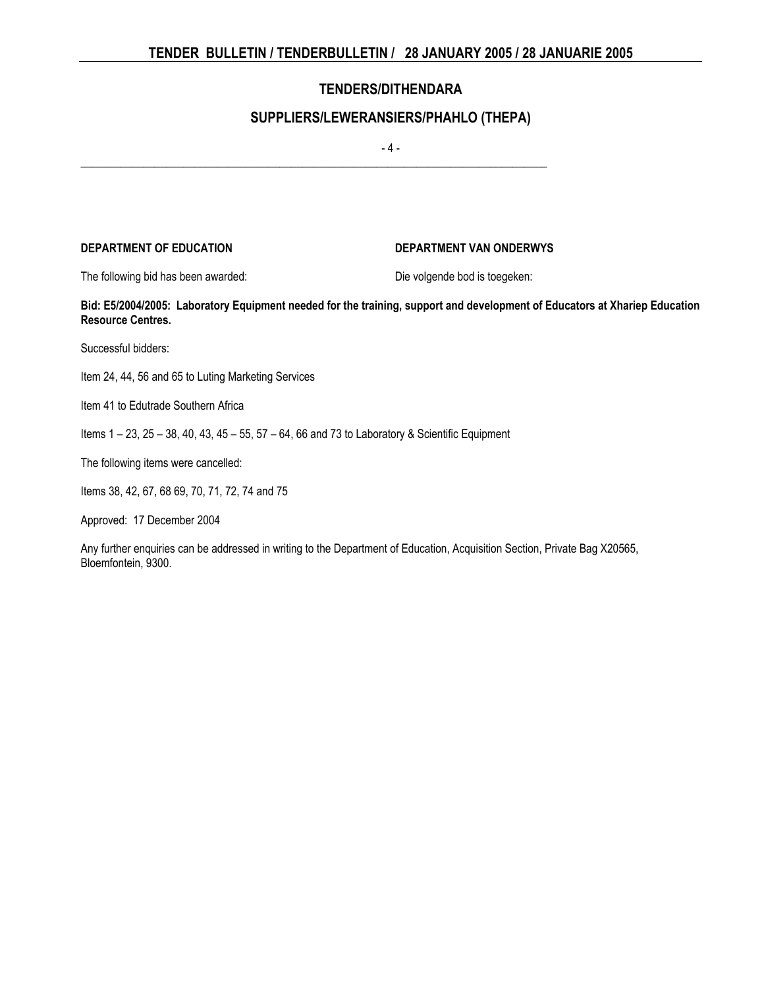## **SUPPLIERS/LEWERANSIERS/PHAHLO (THEPA)**

 $-4 -$ 

\_\_\_\_\_\_\_\_\_\_\_\_\_\_\_\_\_\_\_\_\_\_\_\_\_\_\_\_\_\_\_\_\_\_\_\_\_\_\_\_\_\_\_\_\_\_\_\_\_\_\_\_\_\_\_\_\_\_\_\_\_\_\_\_\_\_\_\_\_\_\_\_\_\_\_\_\_\_\_\_\_\_

### **DEPARTMENT OF EDUCATION DEPARTMENT VAN ONDERWYS**

The following bid has been awarded: Die volgende bod is toegeken:

**Bid: E5/2004/2005: Laboratory Equipment needed for the training, support and development of Educators at Xhariep Education Resource Centres.**

Successful bidders:

Item 24, 44, 56 and 65 to Luting Marketing Services

Item 41 to Edutrade Southern Africa

Items 1 – 23, 25 – 38, 40, 43, 45 – 55, 57 – 64, 66 and 73 to Laboratory & Scientific Equipment

The following items were cancelled:

Items 38, 42, 67, 68 69, 70, 71, 72, 74 and 75

Approved: 17 December 2004

Any further enquiries can be addressed in writing to the Department of Education, Acquisition Section, Private Bag X20565, Bloemfontein, 9300.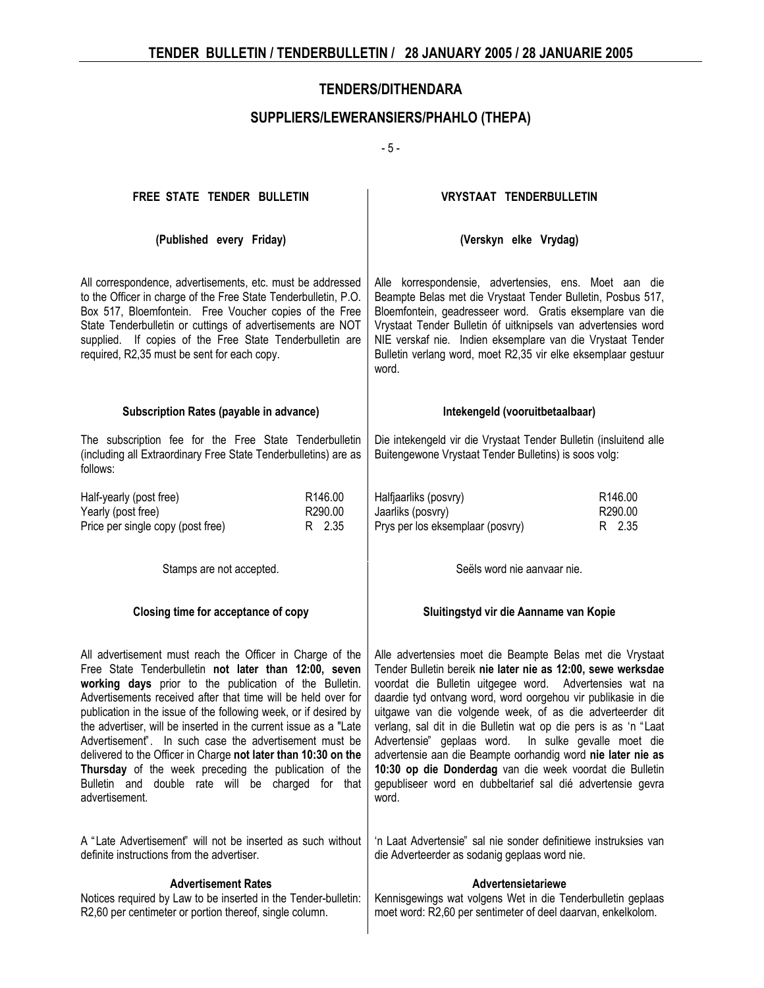## **SUPPLIERS/LEWERANSIERS/PHAHLO (THEPA)**

- 5 -

| FREE STATE TENDER BULLETIN                                                                                                                                                                                                                                                                                                                                                                                                                                                                                                                                                                                                                        | <b>VRYSTAAT TENDERBULLETIN</b>                                                                                                                                                                                                                                                                                                                                                                                                                                                                                                                                                                                                                  |  |  |  |
|---------------------------------------------------------------------------------------------------------------------------------------------------------------------------------------------------------------------------------------------------------------------------------------------------------------------------------------------------------------------------------------------------------------------------------------------------------------------------------------------------------------------------------------------------------------------------------------------------------------------------------------------------|-------------------------------------------------------------------------------------------------------------------------------------------------------------------------------------------------------------------------------------------------------------------------------------------------------------------------------------------------------------------------------------------------------------------------------------------------------------------------------------------------------------------------------------------------------------------------------------------------------------------------------------------------|--|--|--|
| (Published every Friday)                                                                                                                                                                                                                                                                                                                                                                                                                                                                                                                                                                                                                          | (Verskyn elke Vrydag)                                                                                                                                                                                                                                                                                                                                                                                                                                                                                                                                                                                                                           |  |  |  |
| All correspondence, advertisements, etc. must be addressed<br>to the Officer in charge of the Free State Tenderbulletin, P.O.<br>Box 517, Bloemfontein. Free Voucher copies of the Free<br>State Tenderbulletin or cuttings of advertisements are NOT<br>supplied. If copies of the Free State Tenderbulletin are<br>required, R2,35 must be sent for each copy.                                                                                                                                                                                                                                                                                  | Alle korrespondensie, advertensies, ens. Moet aan die<br>Beampte Belas met die Vrystaat Tender Bulletin, Posbus 517,<br>Bloemfontein, geadresseer word. Gratis eksemplare van die<br>Vrystaat Tender Bulletin óf uitknipsels van advertensies word<br>NIE verskaf nie. Indien eksemplare van die Vrystaat Tender<br>Bulletin verlang word, moet R2,35 vir elke eksemplaar gestuur<br>word.                                                                                                                                                                                                                                                      |  |  |  |
| Subscription Rates (payable in advance)                                                                                                                                                                                                                                                                                                                                                                                                                                                                                                                                                                                                           | Intekengeld (vooruitbetaalbaar)                                                                                                                                                                                                                                                                                                                                                                                                                                                                                                                                                                                                                 |  |  |  |
| The subscription fee for the Free State Tenderbulletin<br>(including all Extraordinary Free State Tenderbulletins) are as<br>follows:                                                                                                                                                                                                                                                                                                                                                                                                                                                                                                             | Die intekengeld vir die Vrystaat Tender Bulletin (insluitend alle<br>Buitengewone Vrystaat Tender Bulletins) is soos volg:                                                                                                                                                                                                                                                                                                                                                                                                                                                                                                                      |  |  |  |
| Half-yearly (post free)<br>R146.00<br>Yearly (post free)<br>R290.00<br>Price per single copy (post free)<br>R 2.35                                                                                                                                                                                                                                                                                                                                                                                                                                                                                                                                | Halfjaarliks (posvry)<br>R146.00<br>Jaarliks (posvry)<br>R290.00<br>Prys per los eksemplaar (posvry)<br>R 2.35                                                                                                                                                                                                                                                                                                                                                                                                                                                                                                                                  |  |  |  |
| Stamps are not accepted.                                                                                                                                                                                                                                                                                                                                                                                                                                                                                                                                                                                                                          | Seëls word nie aanvaar nie.                                                                                                                                                                                                                                                                                                                                                                                                                                                                                                                                                                                                                     |  |  |  |
| Closing time for acceptance of copy                                                                                                                                                                                                                                                                                                                                                                                                                                                                                                                                                                                                               | Sluitingstyd vir die Aanname van Kopie                                                                                                                                                                                                                                                                                                                                                                                                                                                                                                                                                                                                          |  |  |  |
| All advertisement must reach the Officer in Charge of the<br>Free State Tenderbulletin not later than 12:00, seven<br>working days prior to the publication of the Bulletin.<br>Advertisements received after that time will be held over for<br>publication in the issue of the following week, or if desired by<br>the advertiser, will be inserted in the current issue as a "Late<br>Advertisement". In such case the advertisement must be<br>delivered to the Officer in Charge not later than 10:30 on the<br>Thursday of the week preceding the publication of the<br>Bulletin and double rate will be charged for that<br>advertisement. | Alle advertensies moet die Beampte Belas met die Vrystaat<br>Tender Bulletin bereik nie later nie as 12:00, sewe werksdae<br>voordat die Bulletin uitgegee word. Advertensies wat na<br>daardie tyd ontvang word, word oorgehou vir publikasie in die<br>uitgawe van die volgende week, of as die adverteerder dit<br>verlang, sal dit in die Bulletin wat op die pers is as 'n "Laat<br>Advertensie" geplaas word. In sulke gevalle moet die<br>advertensie aan die Beampte oorhandig word nie later nie as<br>10:30 op die Donderdag van die week voordat die Bulletin<br>gepubliseer word en dubbeltarief sal dié advertensie gevra<br>word. |  |  |  |
| A "Late Advertisement" will not be inserted as such without<br>definite instructions from the advertiser.                                                                                                                                                                                                                                                                                                                                                                                                                                                                                                                                         | 'n Laat Advertensie" sal nie sonder definitiewe instruksies van<br>die Adverteerder as sodanig geplaas word nie.                                                                                                                                                                                                                                                                                                                                                                                                                                                                                                                                |  |  |  |
| <b>Advertisement Rates</b><br>Notices required by Law to be inserted in the Tender-bulletin:<br>R2,60 per centimeter or portion thereof, single column.                                                                                                                                                                                                                                                                                                                                                                                                                                                                                           | Advertensietariewe<br>Kennisgewings wat volgens Wet in die Tenderbulletin geplaas<br>moet word: R2,60 per sentimeter of deel daarvan, enkelkolom.                                                                                                                                                                                                                                                                                                                                                                                                                                                                                               |  |  |  |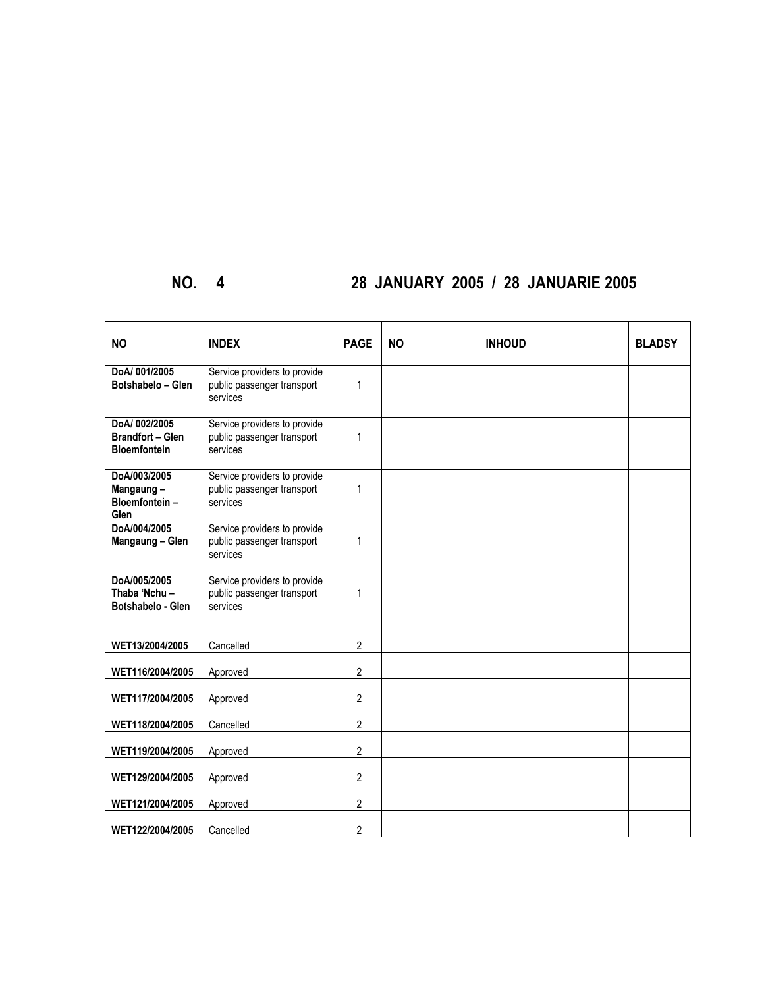# **NO. 4 28 JANUARY 2005 / 28 JANUARIE 2005**

| <b>NO</b>                                                      | <b>INDEX</b>                                                           | <b>PAGE</b>             | <b>NO</b> | <b>INHOUD</b> | <b>BLADSY</b> |
|----------------------------------------------------------------|------------------------------------------------------------------------|-------------------------|-----------|---------------|---------------|
| DoA/001/2005<br>Botshabelo - Glen                              | Service providers to provide<br>public passenger transport<br>services | $\mathbf{1}$            |           |               |               |
| DoA/002/2005<br><b>Brandfort - Glen</b><br><b>Bloemfontein</b> | Service providers to provide<br>public passenger transport<br>services | $\mathbf{1}$            |           |               |               |
| DoA/003/2005<br>Mangaung-<br>Bloemfontein-<br>Glen             | Service providers to provide<br>public passenger transport<br>services | 1                       |           |               |               |
| DoA/004/2005<br>Mangaung - Glen                                | Service providers to provide<br>public passenger transport<br>services | 1                       |           |               |               |
| DoA/005/2005<br>Thaba 'Nchu-<br>Botshabelo - Glen              | Service providers to provide<br>public passenger transport<br>services | 1                       |           |               |               |
| WET13/2004/2005                                                | Cancelled                                                              | $\overline{2}$          |           |               |               |
| WET116/2004/2005                                               | Approved                                                               | 2                       |           |               |               |
| WET117/2004/2005                                               | Approved                                                               | $\overline{\mathbf{c}}$ |           |               |               |
| WET118/2004/2005                                               | Cancelled                                                              | $\overline{2}$          |           |               |               |
| WET119/2004/2005                                               | Approved                                                               | $\overline{2}$          |           |               |               |
| WET129/2004/2005                                               | Approved                                                               | $\overline{c}$          |           |               |               |
| WET121/2004/2005                                               | Approved                                                               | 2                       |           |               |               |
| WET122/2004/2005                                               | Cancelled                                                              | 2                       |           |               |               |